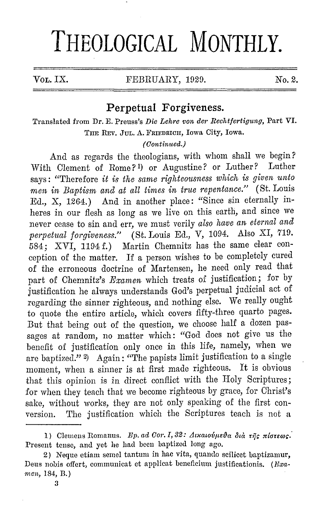## **THEOLOGICAL MONTHLY.**

 $\text{Vol. IX.}$  FEBRUARY, 1929. No. 2.

## **Perpetual Forgiveness.**

Translated from Dr. E. Preuss's *Die Lehre von der llechtfertigung,* Part VI. THE REV. JUL, A. FRIEDRICH, Iowa City, Iowa.

## *(Oontimted.)*

And as regards the theologians, with whom shall we begin?<br>Clament of Bome? 1) or Augustine? or Luther? Luther With Clement of Rome?<sup>1</sup>) or Augustine? or Luther? says: "Therefore *it is the same righteousness which is given unto men in Baptism and at all times in true repentance."* (St. Louis Ed., X, 1264.) And in another place: "Since sin eternally inheres in our flesh as long as we live on this earth, and since we never cease to sin and err, we must verily *also have an eternal and perpetual forgiveness."* (St. Louis Ed., V, 1094. Also XI, 719. 584; XVI, 1194 f.) Martin Chemnitz has the same clear conception of the matter. If a person wishes to be completely cured of the erroneous doctrine of Martensen, he need only read that part of Ohemnitz's *Examen* which treats of justification; for by justification he always understands God's perpetual judicial act of regarding the sinner righteous, and nothing else. We really ought to quote the entire article, which covers fifty-three quarto pages. But that being out of the question, we choose half a dozen passages at random, no matter which: "God does not give us the benefit of justification only once in this life, namely, when we are baptized." 2) Again: "The papists limit justification to a single moment, when a sinner is at first made righteous. It is obvious that this opinion is in direct conflict with the Holy Scriptures; for when they teach that we become righteous by grace, for Christ's sake, without works, they are not only speaking of the first conversion. The justification which the Scriptures teach is not a

<sup>1)</sup> Clemens Romanus. *Ep. ad Cor. I, 32:*  $\Lambda$ *ixaiovµsva δια της πίστεως.* Present tense, and yet he had been baptized long ago.

<sup>2)</sup> Neque ctiam semel tantum in hac vita, quaudo scilicet baptizamur, Deus nobis offert, communicat et applicat beneficium justificationis. (Fixamen, 184, B.)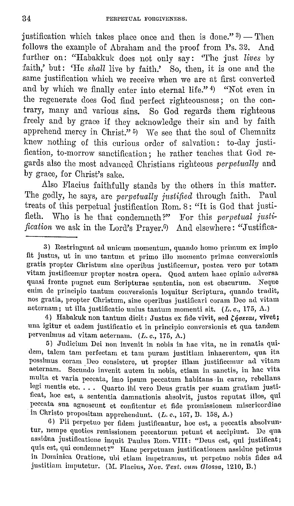justification which takes place once and then is done."  $3$ ) - Then follows the example of Abraham and the proof from Ps. 32. And further on: "Habakkuk does not only say: "The just *lives* by faith,' but: 'He *shall* live by faith.' So, then, it is one and the same justification which we receive when we are at first converted and by which we finally enter into eternal life." 4) "Not even in the regenerate does God find perfect righteousness; on the contrary, many and various sins. So God regards them righteous freely and by grace if they acknowledge their sin and by faith apprehend mercy in Christ." 5) We see that the soul of Chemnitz knew nothing of this curious order of salvation: to-day justification, to-morrow sanctification; he rather teaches that God regards also the most advanced Christians righteous *perpetually* and by grace, for Christ's sake.

Also Flacius faithfully stands by the others in this matter. The godly, he says, are *perpetually justified* through faith. Paul treats of this perpetual justification Rom. 8: "It is God that justifieth. Who is he that condemneth?" For this *perpetual justification* we ask in the Lord's Prayer.G) And elsewhere: "Justifica-

4) Habakuk non tantum dicit: Justus ex fide vivit, sed  $\zeta\eta$ oerat, vivet; una igitur et eadem justificatio et in principio conversionis et qua tandem pervenimus ad vitam aeternam. (L. c., 175, A.)

5) Judicium Dei non invcnit in nobis in hac vita, nc in renatis quidem, talem tam perfectam et tam puram justitiam inhaerentem, qua ita possimus coram Deo consistcrc, ut propter illam justificcmur ad vitam aeternam. Secundo invenit autem in nobis, etiam in sanctis, in hac vita multa ct varia peccata, imo ipsum peccatum habitans. in carne, rcbellans legi mentis etc. . . . Quarto ibi vero Deus gratis per suam gratiam justificat, hoc est, a sententia damnationis absolvit, justos reputat illos, qui peccata sua agnoscunt et confitentur et fide promissionem misericordiae in Christo propositam apprehendunt. (L. *c.,* 157, D. 158, A.)

6) Pii perpetuo per fidem justificantur, hoc est, a peccatis absolvuntur, nempe quoties remissionem peccatorum petuut et accipiunt. De qua assidua justificatione inquit Paulus Rom. VIII: "Deus est, qui justificat; quis est, qui condemnet?" Hanc perpetuam justificationem assidue petimus in Dominica Oratione, uhi etiam impetramus, ut perpctuo nobis fidcs ad justitiam imputetur. (M. Flacius, Nov. Test. cum Glossa, 1210, B.)

<sup>3)</sup> Restringunt ad unicum momentum, quando homo primum ex impio fit justus, ut in uno tantum et primo illo momento primae conversionis gratis propter Christum sine operibus justificemur, postea vero per totam vitam justificemur propter nostra opera. Quod autem haec opinio adversa quasi fronte pugnet cum Scripturae sententia, non est obscurum. Neque enim de principio tantum couversionis loquitur Scriptura, quamlo tradit, nos gratia, propter Christum, sine operibus justificari coram Deo ad vitam acternam; ut illa justificatio unius tantum momenti sit. (L. c., 175, A.)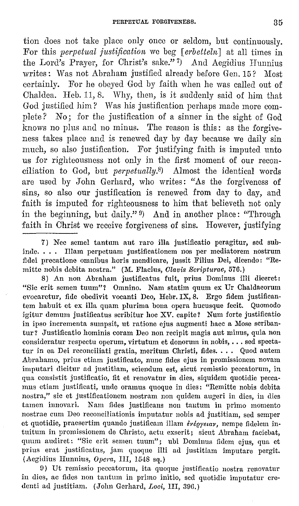tion does not take place only once or seldom, but continuously. For this *perpetual justification* we beg [*erbetteln*] at all times in the Lord's Prayer, for Christ's sake." 7) And Aegidius Hurmius writes: Was not Abraham justified already before Gen. 15? Most certainly. For he obeyed God by faith when he was called out of Chaldea. Heb. 11, 8. Why, then, is it suddenly said of him that God justified him? Was his justification perhaps made more complete? No; for the justification of a sinner in the sight of God knows no plus and no minus. The reason is this: as the forgiveness takes place and is renewed day by day because we daily sin much, so also justification. For justifying faith is imputed unto us for righteousness not only in the first moment of our reconciliation to God, but *perpetually.B)* Almost the identical words are used by John Gerhard, who writes: "As the forgiveness of sins, so also our justification is renewed from day to day, and faith is imputed for righteousness to him that believeth not only in the beginning, but daily."  $9$  And in another place: "Through faith in Christ we receive forgiveness of sins. However, justifying

8) An non Abraham justificatus fuit, prius Dominus illi diceret: "Sic erit semen tuum"? Omnino. Nam statim quum ex Ur Chaldaeorum evocaretur, fide obedivit vocanti Deo, Hebr. IX, 8. Ergo fidem justificantem habuit et ex ilia quam plurima bona opera hucusque fccit. Quomodo igitur demum justificatus scribitur hoc XV. capite? Num forte justificatio in ipso incrementa sumpsit, ut ratione ejus augmenti hacc a Mose scribantur? Justificatio hominis coram Deo non recipit magis ant minus, quia non consideratur respectu operum, virtutum et donorum in nobis, ... sed spectatur in ea Dei reconciliati gratia, meritum Christi, fides. . . . Quod autem Abrahamo, prius etiam justificato, mmc fides ejus in promissionem novam imputari dicitur ad justitiam, sciendum est, sicut remissio peccatorum, in qua consistit justificatio, fit et renovatur in dies, siquidem quotidie peccamus etiam justificati, unde oramus quoque in dies: "Remitte nobis debita nostra," sic et justificationem nostram non quidem augeri in dies, in dies<br>tamen innovari. Nam fides justificans non tantum in primo momento Nam fides justificans non tantum in primo momento nostrae cum Deo reconciliationis imputatur nobis ad justitiam, sed semper et quotidie, praesertim quando justificam illam *ivioyeiav*, nempe fidelem intuitum in promissionem de Christo, actu exserit; sicut Abraham faciebat, quum audirct: "Sic erit semen tuum"; ubi Dominus fidcm ejus, qua et prius erat justificatus, jam quoque illi ad justitiam imputare pergit. (Aegidius Hunnius, Opera, III, 1548 sq.)

()) Ut remissio pcccatorum, ita quoquc justificatio nostra rcnovatur in dies, ac fidcs non tantum in primo initio, sed quotidie imputatur ere· denti ad justitiam. (John Gerhard, *Loci*, III, 396.)

<sup>7)</sup> Nee semel tantum aut raro illa justificatio peragitur, sed subinde. . . . Illam perpetuam justificationem nos per mediatorem nostrum fidei precatione omnibus horis mendicare, jussit Filius Dei, dicendo: "Remitte nobis debita nostra." (M. Flacius, *Clavis Scripturae*, 576.)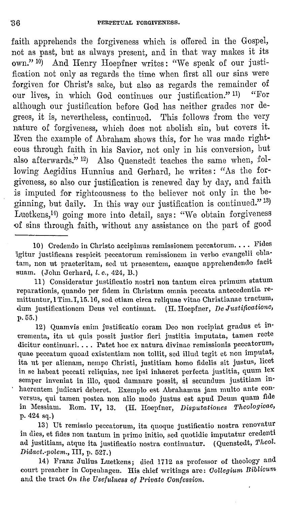faith apprehends the forgiveness which is offered in the Gospel, not as past, but as always present, and in that way makes it its own."<sup>10</sup>) And Henry Hoepfner writes: "We speak of our justification not only as regards the time when first all our sins were forgiven for Christ's sake, but also as regards the remainder of our lives, in which God continues our justification." <sup>11)</sup> "For although our justification before God has neither grades nor degrees, it is, nevertheless, continued. This follows from the very nature of forgiveness, which does not abolish sin, but covers it. Even the example of Abraham shows this, for he was made righteous through faith in his Savior, not only in his conversion, but also afterwards." 12) Also Quenstedt teaches the same when, following Aegidius Hunnius and Gerhard, he writes: "As the forgiveness, so also our justification is renewed day by day, and faith is imputed for righteousness to the believer not only in the beginning, but daily. In this way our justification is continued."<sup>13)</sup> Luetkens,14) going more into detail, says: "We obtain forgiveness of sins through faith, without any assistance on the part of good

10) Credendo in Christo accipimus remissionem peccatorum.... Fides igitur justificans respicit peccatorum remissionem in verho cvangelii ohla· tam, non ut praeteritam, sed ut praesentem, eamque apprehendendo facit suam. (John Gerhard, *l. c.*, 424, B.)

11) Consideratur justificatio nostri non tantum circa primum statum reparationis, quando per fidem in Christum omnia peccata antecedentia remittuntur, 1 Tim.I, 15.10, sed ctiam circa reliquae vitae Christianae tractum, dum justificationem Deus vel continuat. (H. Hoepfner, *De Justificatione*, p. 65.)

12) Quamvis enim justificatio coram Deo non recipiat gradus et incrementa, ita ut quis possit justior fieri justitia imputata, tamen recte dicitur continuari. ... Patet hoc ex natura divinae remissionis peccatorum, quae peccatum quoad existentiam non tollit, sed illud tegit et non imputat, ita ut per alienam, nempe Christi, justitiam homo fidelis sit justus, licet in se habeat peccati reliquias, nee ipsi inhaeret perfecta justitia, quum lex semper inveniat in illo, quod damnare possit, si secundum justitiam inhaerentem judicari deberet. Exemplo est Abrahamus jam multo ante con· versus, qui tamen postca non alio modo justus est apud Deum quam fide in Messiarn. Rom. IV, 13. (H. Hoepfner, *Disputationes Theologicae,*  p. 424 sq.)

13) Ut remissio peccatorum, ita quoque justificatio nostra renovatur in dies, et fides non tantum in primo initio, scd quotidie imputatur credenti ad justitiam, atque ita justificatio nostra continuatur. ( Quenstedt, *Theol. Didaot.-polern.,* III, p. 527.)

14) Franz Julius Luetkens; died 1712 as professor of theology and court preacher in Copenhagen. His chief writings are: *Oollegiurn Biblioum*  and the tract *On the Usefulness of Private Oonfession.*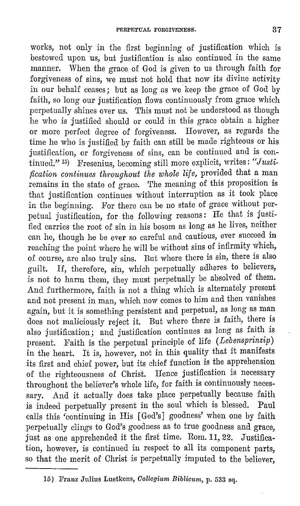works, not only in the first beginning of justification which is bestowed upon us, but justification is also continued in the same manner. When the grace of God is given to us through faith for forgiveness of sins, we must not hold that now its divine activity in our behalf ceases; but as long as we keep the grace of God by faith, so long our justification flows continuously from grace which perpetually shines over us. This must not be understood as though he who is justified should or could in this grace obtain a higher or more perfect degree of forgiveness. However, as regards the time he who is justified by faith can still be made righteous or his justification, or forgiveness of sins, can be continued and is continued."<sup>15</sup>) Fresenius, becoming still more explicit, writes: "Justi*fication continues throughout the whole life,* provided that a man remains in the state of grace. The meaning of this proposition is that justification continues without interruption as it took place in the beginning. For there can be no state of grace without perpetual justification, for the following reasons: He that is justified carries the root of sin in his bosom as long as he lives, neither can he, though he be ever so careful and cautious, ever succeed in reaching the point where he will be without sins of infirmity which, of course, are also truly sins. But where there is sin, there is also guilt. If, therefore, sin, which perpetually adheres to believers, is not to harm them, they must perpetually be absolved of them. And furthermore, faith is not a thing which is alternately present and not present in man, which now comes to him and then vanishes again, but it is something persistent and perpetual, as long as man does not maliciously reject it. But where there is faith, there is also justification; and justification continues as long as faith is present. Paith is the perpetual principle of life *(Lebensprinzip)*  in the heart. It is, however, not in this quality that it manifests its first and chief power, but its chief function is the apprehension of the righteousness of Christ. Hence justification is necessary throughout the believer's whole life, for faith is continuously necessary. And it actually does take place perpetually because faith is indeed perpetually present in the soul which is blessed. Paul calls this 'continuing in His [God's] goodness' when one by faith perpetually clings to God's goodness as to true goodness and grace, just as one apprehended it the first time. Rom. 11, 22. Justification, however, is continued in respect to all its component parts, so that the merit of Christ is perpetually imputed to the believer,

<sup>15)</sup> Franz Julius Luetkens, *Collegium Biblicum*, p. 533 sq.